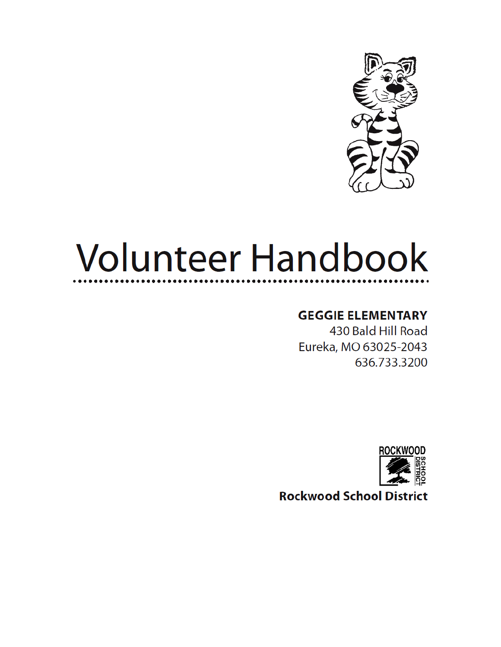

# **Volunteer Handbook**

#### **GEGGIE ELEMENTARY**

430 Bald Hill Road Eureka, MO 63025-2043 636.733.3200



**Rockwood School District**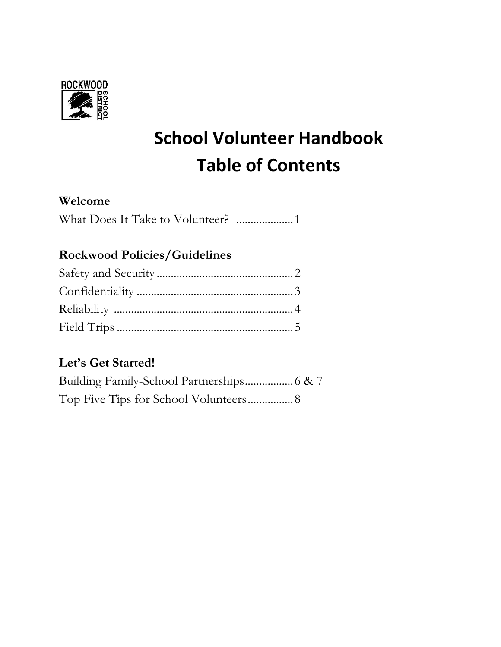

## **School Volunteer Handbook Table of Contents**

#### **Welcome**

#### **Rockwood Policies/Guidelines**

#### **Let's Get Started!**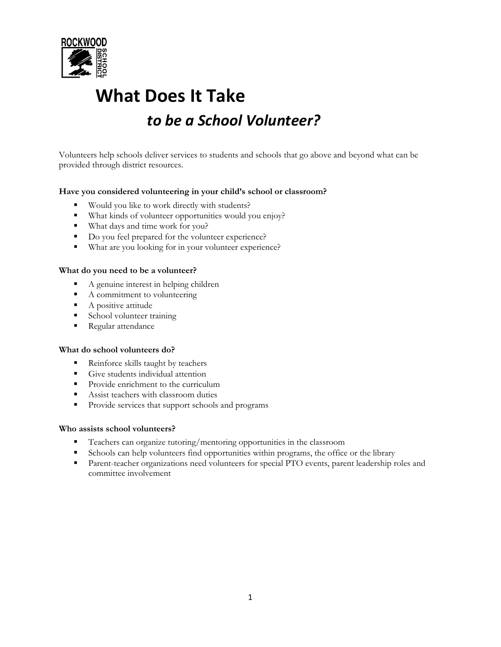

## **What Does It Take** *to be a School Volunteer?*

Volunteers help schools deliver services to students and schools that go above and beyond what can be provided through district resources.

#### **Have you considered volunteering in your child's school or classroom?**

- Would you like to work directly with students?
- What kinds of volunteer opportunities would you enjoy?
- What days and time work for you?
- Do you feel prepared for the volunteer experience?
- What are you looking for in your volunteer experience?

#### **What do you need to be a volunteer?**

- A genuine interest in helping children
- A commitment to volunteering
- A positive attitude
- School volunteer training
- Regular attendance

#### **What do school volunteers do?**

- **Reinforce skills taught by teachers**
- **•** Give students individual attention
- **•** Provide enrichment to the curriculum
- **■** Assist teachers with classroom duties
- **•** Provide services that support schools and programs

#### **Who assists school volunteers?**

- **•** Teachers can organize tutoring/mentoring opportunities in the classroom
- Schools can help volunteers find opportunities within programs, the office or the library
- **•** Parent-teacher organizations need volunteers for special PTO events, parent leadership roles and committee involvement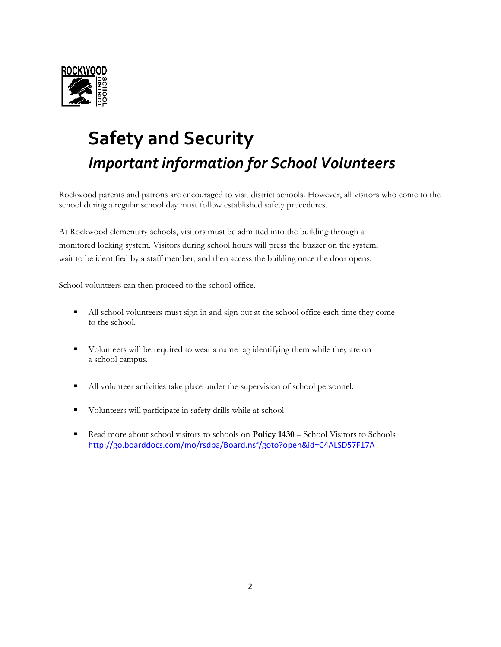

## **Safety and Security** *Important information for School Volunteers*

Rockwood parents and patrons are encouraged to visit district schools. However, all visitors who come to the school during a regular school day must follow established safety procedures.

At Rockwood elementary schools, visitors must be admitted into the building through a monitored locking system. Visitors during school hours will press the buzzer on the system, wait to be identified by a staff member, and then access the building once the door opens.

School volunteers can then proceed to the school office.

- All school volunteers must sign in and sign out at the school office each time they come to the school.
- Volunteers will be required to wear a name tag identifying them while they are on a school campus.
- All volunteer activities take place under the supervision of school personnel.
- Volunteers will participate in safety drills while at school.
- Read more about school visitors to schools on **Policy 1430** School Visitors to Schools <http://go.boarddocs.com/mo/rsdpa/Board.nsf/goto?open&id=C4ALSD57F17A>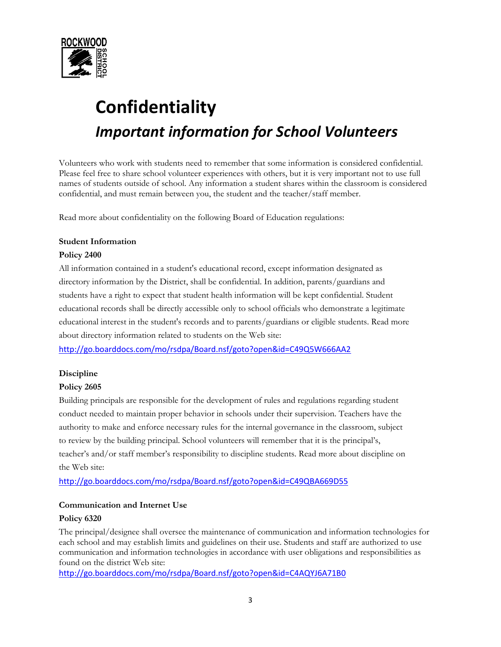

## **Confidentiality** *Important information for School Volunteers*

Volunteers who work with students need to remember that some information is considered confidential. Please feel free to share school volunteer experiences with others, but it is very important not to use full names of students outside of school. Any information a student shares within the classroom is considered confidential, and must remain between you, the student and the teacher/staff member.

Read more about confidentiality on the following Board of Education regulations:

#### **Student Information**

#### **Policy 2400**

All information contained in a student's educational record, except information designated as directory information by the District, shall be confidential. In addition, parents/guardians and students have a right to expect that student health information will be kept confidential. Student educational records shall be directly accessible only to school officials who demonstrate a legitimate educational interest in the student's records and to parents/guardians or eligible students. Read more about directory information related to students on the Web site:

<http://go.boarddocs.com/mo/rsdpa/Board.nsf/goto?open&id=C49Q5W666AA2>

#### **Discipline**

#### **Policy 2605**

Building principals are responsible for the development of rules and regulations regarding student conduct needed to maintain proper behavior in schools under their supervision. Teachers have the authority to make and enforce necessary rules for the internal governance in the classroom, subject to review by the building principal. School volunteers will remember that it is the principal's, teacher's and/or staff member's responsibility to discipline students. Read more about discipline on the Web site:

<http://go.boarddocs.com/mo/rsdpa/Board.nsf/goto?open&id=C49QBA669D55>

#### **Communication and Internet Use**

#### **Policy 6320**

The principal/designee shall oversee the maintenance of communication and information technologies for each school and may establish limits and guidelines on their use. Students and staff are authorized to use communication and information technologies in accordance with user obligations and responsibilities as found on the district Web site:

<http://go.boarddocs.com/mo/rsdpa/Board.nsf/goto?open&id=C4AQYJ6A71B0>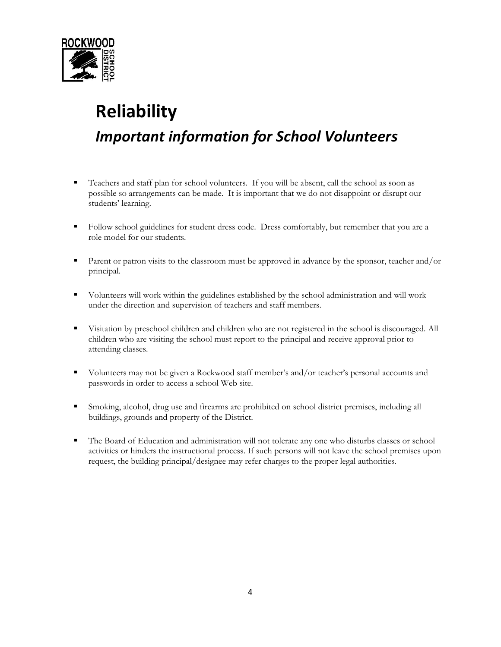

### **Reliability** *Important information for School Volunteers*

- Teachers and staff plan for school volunteers. If you will be absent, call the school as soon as possible so arrangements can be made. It is important that we do not disappoint or disrupt our students' learning.
- Follow school guidelines for student dress code. Dress comfortably, but remember that you are a role model for our students.
- Parent or patron visits to the classroom must be approved in advance by the sponsor, teacher and/or principal.
- Volunteers will work within the guidelines established by the school administration and will work under the direction and supervision of teachers and staff members.
- Visitation by preschool children and children who are not registered in the school is discouraged. All children who are visiting the school must report to the principal and receive approval prior to attending classes.
- Volunteers may not be given a Rockwood staff member's and/or teacher's personal accounts and passwords in order to access a school Web site.
- **•** Smoking, alcohol, drug use and firearms are prohibited on school district premises, including all buildings, grounds and property of the District.
- The Board of Education and administration will not tolerate any one who disturbs classes or school activities or hinders the instructional process. If such persons will not leave the school premises upon request, the building principal/designee may refer charges to the proper legal authorities.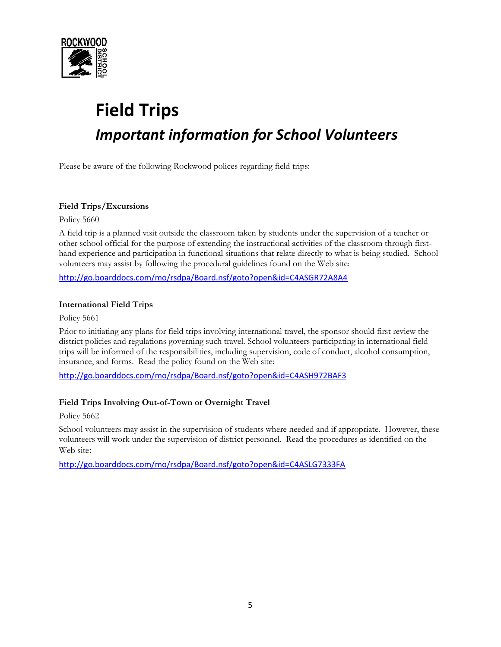

## **Field Trips** *Important information for School Volunteers*

Please be aware of the following Rockwood polices regarding field trips:

#### **Field Trips/Excursions**

Policy 5660

A field trip is a planned visit outside the classroom taken by students under the supervision of a teacher or other school official for the purpose of extending the instructional activities of the classroom through firsthand experience and participation in functional situations that relate directly to what is being studied. School volunteers may assist by following the procedural guidelines found on the Web site:

<http://go.boarddocs.com/mo/rsdpa/Board.nsf/goto?open&id=C4ASGR72A8A4>

#### **International Field Trips**

Policy 5661

Prior to initiating any plans for field trips involving international travel, the sponsor should first review the district policies and regulations governing such travel. School volunteers participating in international field trips will be informed of the responsibilities, including supervision, code of conduct, alcohol consumption, insurance, and forms. Read the policy found on the Web site:

<http://go.boarddocs.com/mo/rsdpa/Board.nsf/goto?open&id=C4ASH972BAF3>

#### **Field Trips Involving Out-of-Town or Overnight Travel**

Policy 5662

School volunteers may assist in the supervision of students where needed and if appropriate. However, these volunteers will work under the supervision of district personnel. Read the procedures as identified on the Web site:

<http://go.boarddocs.com/mo/rsdpa/Board.nsf/goto?open&id=C4ASLG7333FA>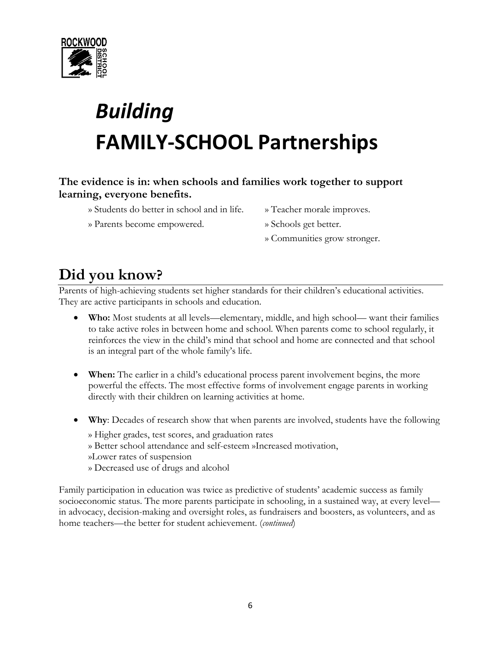

## *Building*  **FAMILY-SCHOOL Partnerships**

#### **The evidence is in: when schools and families work together to support learning, everyone benefits.**

- » Students do better in school and in life. » Teacher morale improves.
- » Parents become empowered. » Schools get better.
- -
	- » Communities grow stronger.

### **Did you know?**

Parents of high-achieving students set higher standards for their children's educational activities. They are active participants in schools and education.

- **Who:** Most students at all levels—elementary, middle, and high school— want their families to take active roles in between home and school. When parents come to school regularly, it reinforces the view in the child's mind that school and home are connected and that school is an integral part of the whole family's life.
- **When:** The earlier in a child's educational process parent involvement begins, the more powerful the effects. The most effective forms of involvement engage parents in working directly with their children on learning activities at home.
- **Why**: Decades of research show that when parents are involved, students have the following
	- » Higher grades, test scores, and graduation rates
	- » Better school attendance and self-esteem »Increased motivation,
	- »Lower rates of suspension
	- » Decreased use of drugs and alcohol

Family participation in education was twice as predictive of students' academic success as family socioeconomic status. The more parents participate in schooling, in a sustained way, at every level in advocacy, decision-making and oversight roles, as fundraisers and boosters, as volunteers, and as home teachers—the better for student achievement. (*continued*)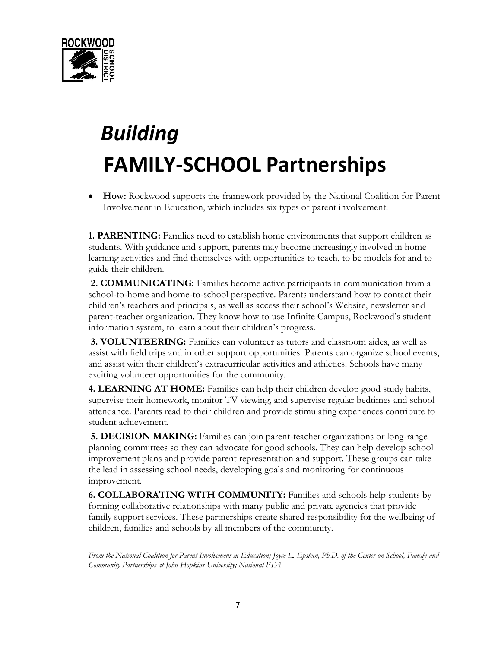

## *Building*   **FAMILY-SCHOOL Partnerships**

• **How:** Rockwood supports the framework provided by the National Coalition for Parent Involvement in Education, which includes six types of parent involvement:

**1. PARENTING:** Families need to establish home environments that support children as students. With guidance and support, parents may become increasingly involved in home learning activities and find themselves with opportunities to teach, to be models for and to guide their children.

**2. COMMUNICATING:** Families become active participants in communication from a school-to-home and home-to-school perspective. Parents understand how to contact their children's teachers and principals, as well as access their school's Website, newsletter and parent-teacher organization. They know how to use Infinite Campus, Rockwood's student information system, to learn about their children's progress.

**3. VOLUNTEERING:** Families can volunteer as tutors and classroom aides, as well as assist with field trips and in other support opportunities. Parents can organize school events, and assist with their children's extracurricular activities and athletics. Schools have many exciting volunteer opportunities for the community.

**4. LEARNING AT HOME:** Families can help their children develop good study habits, supervise their homework, monitor TV viewing, and supervise regular bedtimes and school attendance. Parents read to their children and provide stimulating experiences contribute to student achievement.

**5. DECISION MAKING:** Families can join parent-teacher organizations or long-range planning committees so they can advocate for good schools. They can help develop school improvement plans and provide parent representation and support. These groups can take the lead in assessing school needs, developing goals and monitoring for continuous improvement.

**6. COLLABORATING WITH COMMUNITY:** Families and schools help students by forming collaborative relationships with many public and private agencies that provide family support services. These partnerships create shared responsibility for the wellbeing of children, families and schools by all members of the community.

*From the National Coalition for Parent Involvement in Education; Joyce L. Epstein, Ph.D. of the Center on School, Family and Community Partnerships at John Hopkins University; National PTA*